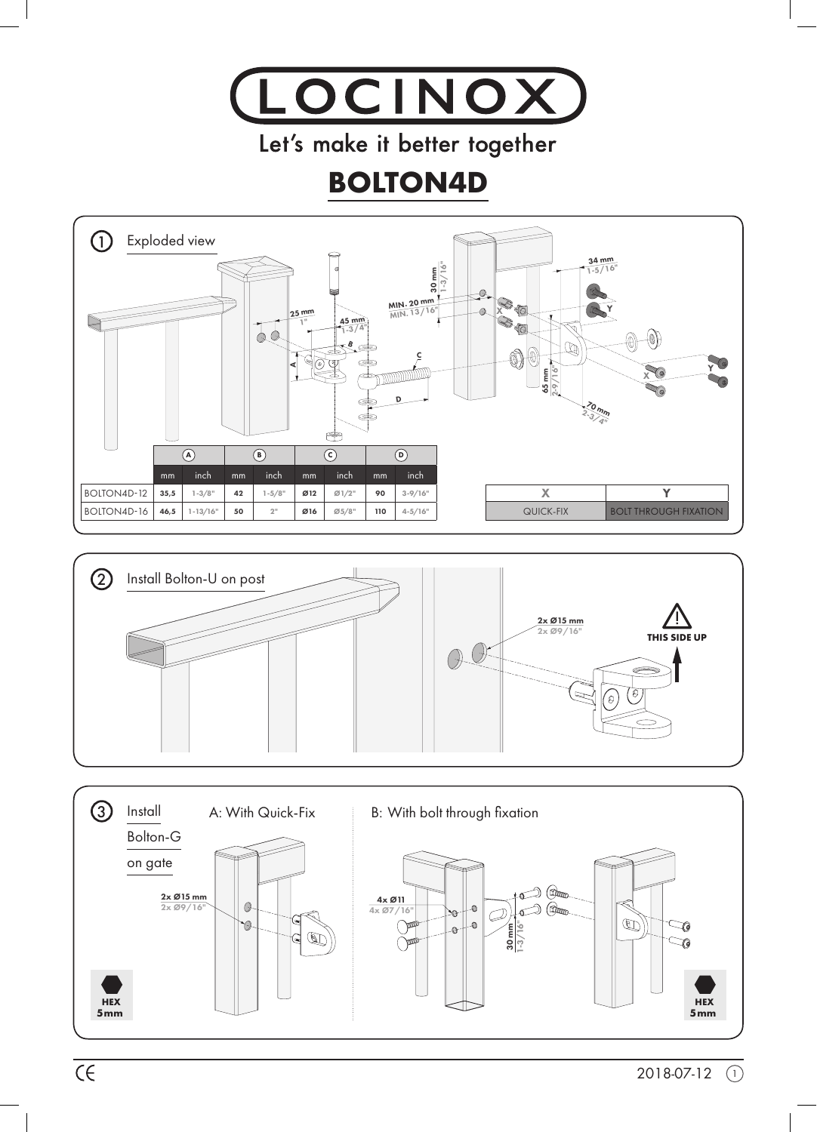

Let's make it better together

## **BOLTON4D**